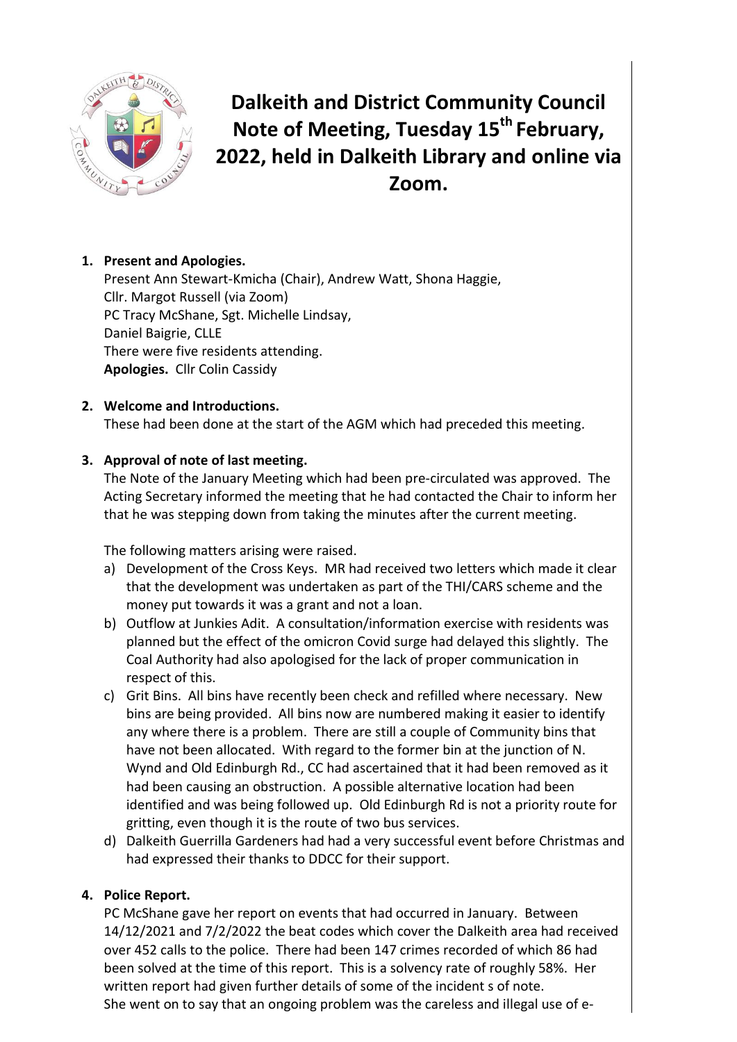

# **Dalkeith and District Community Council Note of Meeting, Tuesday 15 th February, 2022, held in Dalkeith Library and online via Zoom.**

# **1. Present and Apologies.**

Present Ann Stewart-Kmicha (Chair), Andrew Watt, Shona Haggie, Cllr. Margot Russell (via Zoom) PC Tracy McShane, Sgt. Michelle Lindsay, Daniel Baigrie, CLLE There were five residents attending. **Apologies.** Cllr Colin Cassidy

# **2. Welcome and Introductions.**

These had been done at the start of the AGM which had preceded this meeting.

# **3. Approval of note of last meeting.**

The Note of the January Meeting which had been pre-circulated was approved. The Acting Secretary informed the meeting that he had contacted the Chair to inform her that he was stepping down from taking the minutes after the current meeting.

The following matters arising were raised.

- a) Development of the Cross Keys. MR had received two letters which made it clear that the development was undertaken as part of the THI/CARS scheme and the money put towards it was a grant and not a loan.
- b) Outflow at Junkies Adit. A consultation/information exercise with residents was planned but the effect of the omicron Covid surge had delayed this slightly. The Coal Authority had also apologised for the lack of proper communication in respect of this.
- c) Grit Bins. All bins have recently been check and refilled where necessary. New bins are being provided. All bins now are numbered making it easier to identify any where there is a problem. There are still a couple of Community bins that have not been allocated. With regard to the former bin at the junction of N. Wynd and Old Edinburgh Rd., CC had ascertained that it had been removed as it had been causing an obstruction. A possible alternative location had been identified and was being followed up. Old Edinburgh Rd is not a priority route for gritting, even though it is the route of two bus services.
- d) Dalkeith Guerrilla Gardeners had had a very successful event before Christmas and had expressed their thanks to DDCC for their support.

### **4. Police Report.**

PC McShane gave her report on events that had occurred in January. Between 14/12/2021 and 7/2/2022 the beat codes which cover the Dalkeith area had received over 452 calls to the police. There had been 147 crimes recorded of which 86 had been solved at the time of this report. This is a solvency rate of roughly 58%. Her written report had given further details of some of the incident s of note. She went on to say that an ongoing problem was the careless and illegal use of e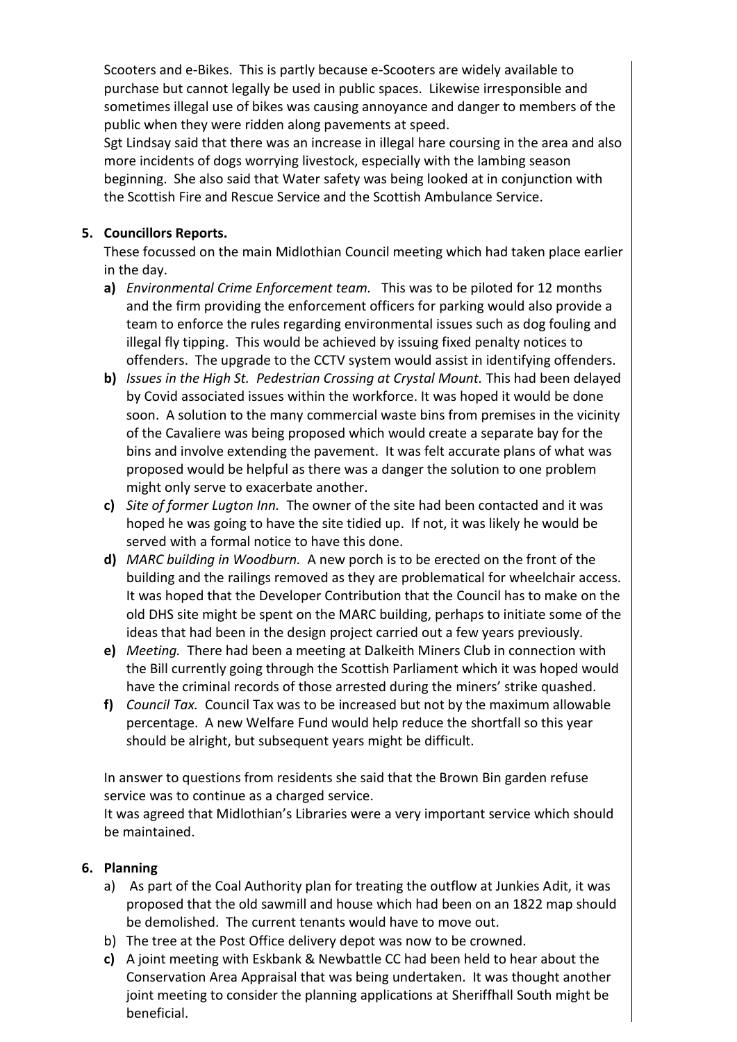Scooters and e-Bikes. This is partly because e-Scooters are widely available to purchase but cannot legally be used in public spaces. Likewise irresponsible and sometimes illegal use of bikes was causing annoyance and danger to members of the public when they were ridden along pavements at speed.

Sgt Lindsay said that there was an increase in illegal hare coursing in the area and also more incidents of dogs worrying livestock, especially with the lambing season beginning. She also said that Water safety was being looked at in conjunction with the Scottish Fire and Rescue Service and the Scottish Ambulance Service.

## **5. Councillors Reports.**

These focussed on the main Midlothian Council meeting which had taken place earlier in the day.

- **a)** *Environmental Crime Enforcement team.*This was to be piloted for 12 months and the firm providing the enforcement officers for parking would also provide a team to enforce the rules regarding environmental issues such as dog fouling and illegal fly tipping. This would be achieved by issuing fixed penalty notices to offenders. The upgrade to the CCTV system would assist in identifying offenders.
- **b)** *Issues in the High St. Pedestrian Crossing at Crystal Mount.* This had been delayed by Covid associated issues within the workforce. It was hoped it would be done soon. A solution to the many commercial waste bins from premises in the vicinity of the Cavaliere was being proposed which would create a separate bay for the bins and involve extending the pavement. It was felt accurate plans of what was proposed would be helpful as there was a danger the solution to one problem might only serve to exacerbate another.
- **c)** *Site of former Lugton Inn.*The owner of the site had been contacted and it was hoped he was going to have the site tidied up. If not, it was likely he would be served with a formal notice to have this done.
- **d)** *MARC building in Woodburn.*A new porch is to be erected on the front of the building and the railings removed as they are problematical for wheelchair access. It was hoped that the Developer Contribution that the Council has to make on the old DHS site might be spent on the MARC building, perhaps to initiate some of the ideas that had been in the design project carried out a few years previously.
- **e)** *Meeting.*There had been a meeting at Dalkeith Miners Club in connection with the Bill currently going through the Scottish Parliament which it was hoped would have the criminal records of those arrested during the miners' strike quashed.
- **f)** *Council Tax.* Council Tax was to be increased but not by the maximum allowable percentage. A new Welfare Fund would help reduce the shortfall so this year should be alright, but subsequent years might be difficult.

In answer to questions from residents she said that the Brown Bin garden refuse service was to continue as a charged service.

It was agreed that Midlothian's Libraries were a very important service which should be maintained.

### **6. Planning**

- a) As part of the Coal Authority plan for treating the outflow at Junkies Adit, it was proposed that the old sawmill and house which had been on an 1822 map should be demolished. The current tenants would have to move out.
- b) The tree at the Post Office delivery depot was now to be crowned.
- **c)** A joint meeting with Eskbank & Newbattle CC had been held to hear about the Conservation Area Appraisal that was being undertaken. It was thought another joint meeting to consider the planning applications at Sheriffhall South might be beneficial.